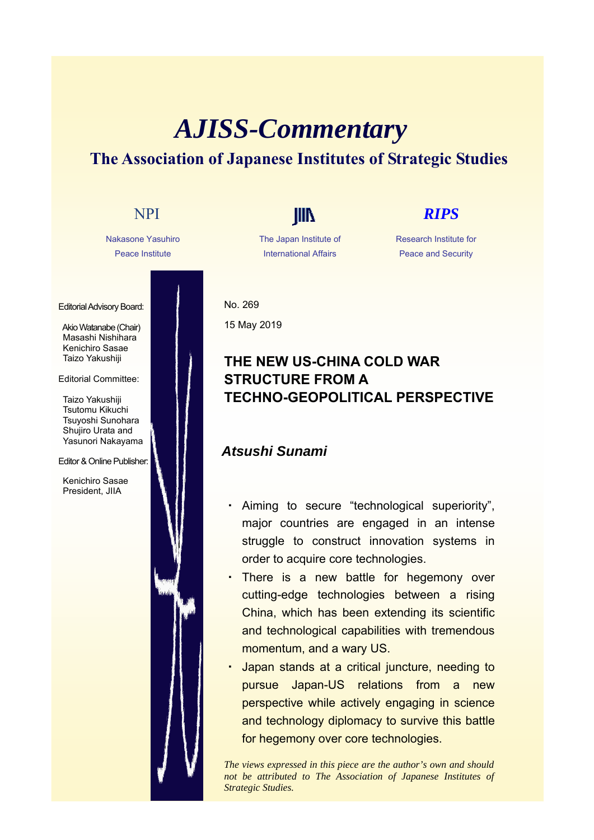# *AJISS-Commentary* **The Association of Japanese Institutes of Strategic Studies**

Nakasone Yasuhiro Peace Institute

Editorial Advisory Board:

Akio Watanabe (Chair) Masashi Nishihara Kenichiro Sasae Taizo Yakushiji

### Editorial Committee:

Taizo Yakushiji Tsutomu Kikuchi Tsuyoshi Sunohara Shujiro Urata and Yasunori Nakayama

### Editor & Online Publisher:

Kenichiro Sasae President, JIIA

The Japan Institute of International Affairs

## NPI **IIII** *RIPS*

Research Institute for Peace and Security

No. 269 15 May 2019

## **THE NEW US-CHINA COLD WAR STRUCTURE FROM A TECHNO-GEOPOLITICAL PERSPECTIVE**

## *Atsushi Sunami*

- Aiming to secure "technological superiority", major countries are engaged in an intense struggle to construct innovation systems in order to acquire core technologies.
- ・ There is a new battle for hegemony over cutting-edge technologies between a rising China, which has been extending its scientific and technological capabilities with tremendous momentum, and a wary US.
- Japan stands at a critical juncture, needing to pursue Japan-US relations from a new perspective while actively engaging in science and technology diplomacy to survive this battle for hegemony over core technologies.

*The views expressed in this piece are the author's own and should not be attributed to The Association of Japanese Institutes of Strategic Studies.*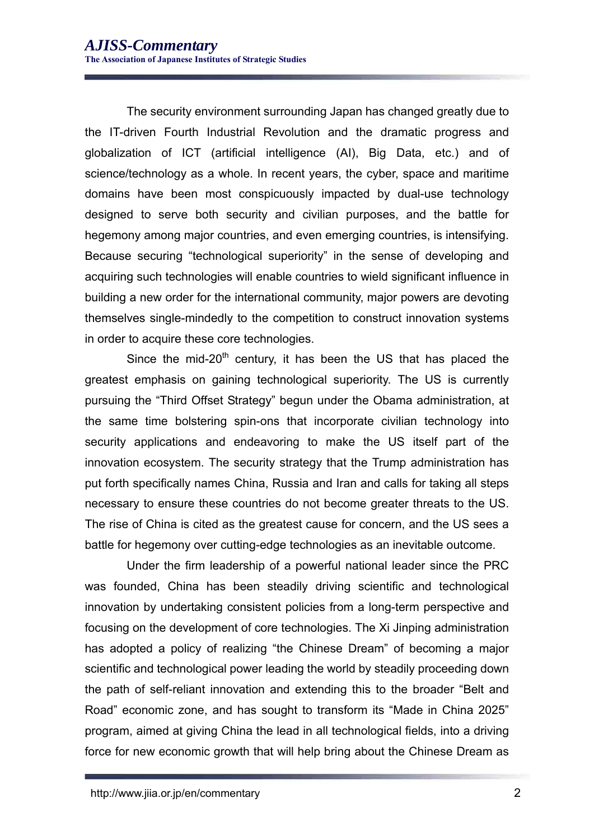The security environment surrounding Japan has changed greatly due to the IT-driven Fourth Industrial Revolution and the dramatic progress and globalization of ICT (artificial intelligence (AI), Big Data, etc.) and of science/technology as a whole. In recent years, the cyber, space and maritime domains have been most conspicuously impacted by dual-use technology designed to serve both security and civilian purposes, and the battle for hegemony among major countries, and even emerging countries, is intensifying. Because securing "technological superiority" in the sense of developing and acquiring such technologies will enable countries to wield significant influence in building a new order for the international community, major powers are devoting themselves single-mindedly to the competition to construct innovation systems in order to acquire these core technologies.

Since the mid-20<sup>th</sup> century, it has been the US that has placed the greatest emphasis on gaining technological superiority. The US is currently pursuing the "Third Offset Strategy" begun under the Obama administration, at the same time bolstering spin-ons that incorporate civilian technology into security applications and endeavoring to make the US itself part of the innovation ecosystem. The security strategy that the Trump administration has put forth specifically names China, Russia and Iran and calls for taking all steps necessary to ensure these countries do not become greater threats to the US. The rise of China is cited as the greatest cause for concern, and the US sees a battle for hegemony over cutting-edge technologies as an inevitable outcome.

Under the firm leadership of a powerful national leader since the PRC was founded, China has been steadily driving scientific and technological innovation by undertaking consistent policies from a long-term perspective and focusing on the development of core technologies. The Xi Jinping administration has adopted a policy of realizing "the Chinese Dream" of becoming a major scientific and technological power leading the world by steadily proceeding down the path of self-reliant innovation and extending this to the broader "Belt and Road" economic zone, and has sought to transform its "Made in China 2025" program, aimed at giving China the lead in all technological fields, into a driving force for new economic growth that will help bring about the Chinese Dream as